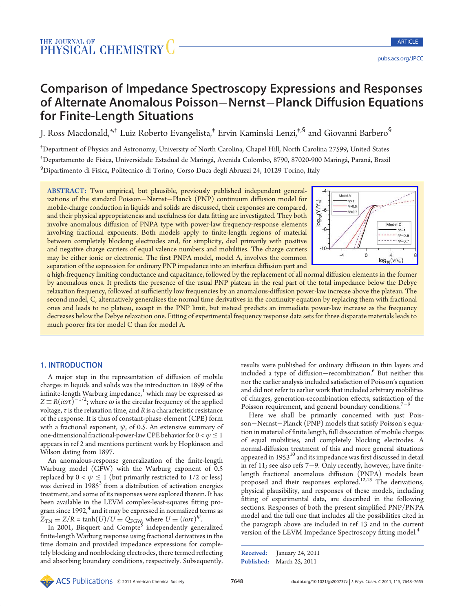# Comparison of Impedance Spectroscopy Expressions and Responses of Alternate Anomalous Poisson-Nernst-Planck Diffusion Equations for Finite-Length Situations

J. Ross Macdonald,\*<sup>,†</sup> Luiz Roberto Evangelista,<sup>†</sup> Ervin Kaminski Lenzi,<sup>‡,§</sup> and Giovanni Barbero<sup>§</sup>

† Department of Physics and Astronomy, University of North Carolina, Chapel Hill, North Carolina 27599, United States ‡ Departamento de Física, Universidade Estadual de Maringa, Avenida Colombo, 8790, 87020-900 Maringa, Parana, Brazil § Dipartimento di Fisica, Politecnico di Torino, Corso Duca degli Abruzzi 24, 10129 Torino, Italy

ABSTRACT: Two empirical, but plausible, previously published independent generalizations of the standard Poisson-Nernst-Planck (PNP) continuum diffusion model for mobile-charge conduction in liquids and solids are discussed, their responses are compared, and their physical appropriateness and usefulness for data fitting are investigated. They both involve anomalous diffusion of PNPA type with power-law frequency-response elements involving fractional exponents. Both models apply to finite-length regions of material between completely blocking electrodes and, for simplicity, deal primarily with positive and negative charge carriers of equal valence numbers and mobilities. The charge carriers may be either ionic or electronic. The first PNPA model, model A, involves the common separation of the expression for ordinary PNP impedance into an interface diffusion part and



a high-frequency limiting conductance and capacitance, followed by the replacement of all normal di[ff](http://pubs.acs.org/action/showImage?doi=10.1021/jp200737z&iName=master.img-000.jpg&w=134&h=98)usion elements in the former by anomalous ones. It predicts the presence of the usual PNP plateau in the real part of the total impedance below the Debye relaxation frequency, followed at sufficiently low frequencies by an anomalous-diffusion power-law increase above the plateau. The second model, C, alternatively generalizes the normal time derivatives in the continuity equation by replacing them with fractional ones and leads to no plateau, except in the PNP limit, but instead predicts an immediate power-law increase as the frequency decreases below the Debye relaxation one. Fitting of experimental frequency response data sets for three disparate materials leads to much poorer fits for model C than for model A.

# 1. INTRODUCTION

A major step in the representation of diffusion of mobile charges in liquids and solids was the introduction in 1899 of the infinite-length Warburg impedance, $^1$  which may be expressed as  $Z \equiv R(i\omega\tau)^{-1/2}$ ; where  $\omega$  is the circular frequency of the applied voltage,  $\tau$  is the relaxation time, and  $R$  is a characteristic resistance of the response. It is thus of constant-phase-element (CPE) form with a fractional exponent,  $\psi$ , of 0.5. An extensive summary of one-dimensional fractional-power-law CPE behavior for  $0 < \psi \leq 1$ appears in ref 2 and mentions pertinent work by Hopkinson and Wilson dating from 1897.

An anomalous-response generalization of the finite-length Warburg model (GFW) with the Warburg exponent of 0.5 replaced by  $0 < \psi \leq 1$  (but primarily restricted to 1/2 or less) was derived in  $1985<sup>3</sup>$  from a distribution of activation energies treatment, and some of its responses were explored therein. It has been available in the LEVM complex-least-squares fitting program since 1992, $^4$  and it may be expressed in normalized terms as  $Z_{\text{TN}} \equiv Z/R = \tanh(U)/U \equiv Q_{\text{FGW}}$ , where  $U \equiv (i\omega\tau)^{\psi}$ .

In 2001, Bisquert and Compte<sup>5</sup> independently generalized finite-length Warburg response using fractional derivatives in the time domain and provided impedance expressions for completely blocking and nonblocking electrodes, there termed reflecting and absorbing boundary conditions, respectively. Subsequently, results were published for ordinary diffusion in thin layers and included a type of diffusion-recombination.<sup>6</sup> But neither this nor the earlier analysis included satisfaction of Poisson's equation and did not refer to earlier work that included arbitrary mobilities of charges, generation-recombination effects, satisfaction of the Poisson requirement, and general boundary conditions.<sup>7-9</sup>

r2011 American Chemical Society 7648 dx.doi.org/10.1021/jp200737z |J. Phys. Chem. C 2011, 115, 7648–7655 ARTICLE Here we shall be primarily concerned with just Poisson-Nernst-Planck (PNP) models that satisfy Poisson's equation in material of finite length, full dissociation of mobile charges of equal mobilities, and completely blocking electrodes. A normal-diffusion treatment of this and more general situations appeared in  $1953^{10}$  and its impedance was first discussed in detail in ref 11; see also refs  $7-9$ . Only recently, however, have finitelength fractional anomalous diffusion (PNPA) models been proposed and their responses explored.<sup>12,13</sup> The derivations, physical plausibility, and responses of these models, including fitting of experimental data, are described in the following sections. Responses of both the present simplified PNP/PNPA model and the full one that includes all the possibilities cited in the paragraph above are included in ref 13 and in the current version of the LEVM Impedance Spectroscopy fitting model.<sup>4</sup>

Published: March 25, 2011 Received: January 24, 2011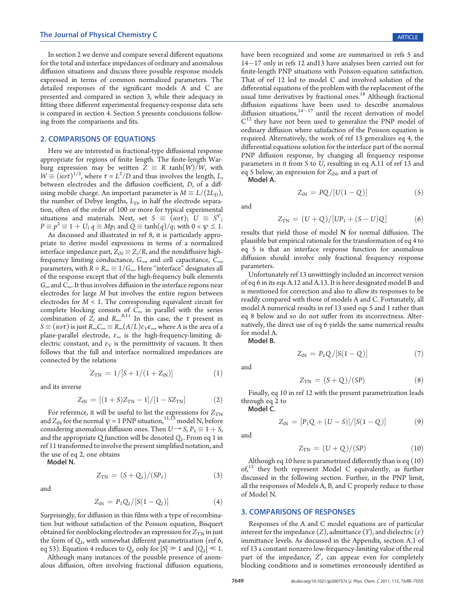# The Journal of Physical Chemistry C ARTICLE ARTICLE

In section 2 we derive and compare several different equations for the total and interface impedances of ordinary and anomalous diffusion situations and discuss three possible response models expressed in terms of common normalized parameters. The detailed responses of the significant models A and C are presented and compared in section 3, while their adequacy in fitting three different experimental frequency-response data sets is compared in section 4. Section 5 presents conclusions following from the comparisons and fits.

#### 2. COMPARISONS OF EQUATIONS

Here we are interested in fractional-type diffusional response appropriate for regions of finite length. The finite-length Warburg expression may be written  $Z \equiv R \tanh(W)/W$ , with  $W = (i\omega\tau)^{1/2}$ , where  $\tau = L^2/D$  and thus involves the length, L, between electrodes and the diffusion coefficient, D, of a diffusing mobile charge. An important parameter is  $M \equiv L/(2L_D)$ , the number of Debye lengths,  $L_{\text{D}}$ , in half the electrode separation, often of the order of 100 or more for typical experimental situations and materials. Next, set  $S \equiv (i\omega \tau)$ ;  $U \equiv S^{\psi}$ ;  $P \equiv p^2 \equiv 1 + U$ ;  $q \equiv Mp$ ; and  $Q \equiv \tanh(q)/q$ ; with  $0 < \psi \leq 1$ .

As discussed and illustrated in ref 8, it is particularly appropriate to derive model expressions in terms of a normalized interface impedance part,  $Z_{iN} \equiv Z_i/R$ , and the nondiffusive highfrequency limiting conductance,  $G_{\infty}$ , and cell capacitance,  $C_{\infty}$ parameters, with  $R = R_{\infty} \equiv 1/G_{\infty}$ . Here "interface" designates all of the response except that of the high-frequency bulk elements  $G_{\infty}$  and  $C_{\infty}$ . It thus involves diffusion in the interface regions near electrodes for large M but involves the entire region between electrodes for  $M < 1$ . The corresponding equivalent circuit for complete blocking consists of  $C_{\infty}$  in parallel with the series combination of  $Z_i$  and  $R_{\infty}^{8,11}$  In this case, the  $\tau$  present in  $S \equiv (i\omega\tau)$  is just  $R_{\infty}C_{\infty} \equiv R_{\infty}(A/L)\varepsilon_{V}\varepsilon_{\infty}$ , where A is the area of a plane-parallel electrode,  $\varepsilon_{\infty}$  is the high-frequency-limiting dielectric constant, and  $\varepsilon_V$  is the permittivity of vacuum. It then follows that the full and interface normalized impedances are connected by the relations

$$
Z_{\rm TN} = 1/[S + 1/(1 + Z_{\rm iN})]
$$
 (1)

and its inverse

$$
Z_{iN} = [(1 + S)Z_{TN} - 1]/[1 - SZ_{TN}] \tag{2}
$$

For reference, it will be useful to list the expressions for  $Z_{TN}$ and  $Z_{iN}$  for the normal  $\psi = 1$  PNP situation,<sup>11,13</sup> model N, before considering anomalous diffusion ones. Then  $U \rightarrow S$ ,  $P_1 \equiv 1 + S$ , and the appropriate Q function will be denoted  $Q_1$ . From eq 1 in ref 11 transformed to involve the present simplified notation, and the use of eq 2, one obtains

Model N.

$$
Z_{\rm TN} = (S + Q_1)/(SP_1)
$$
 (3)

and

$$
Z_{iN} = P_1 Q_1 / [S(1 - Q_1)] \tag{4}
$$

Surprisingly, for diffusion in thin films with a type of recombination but without satisfaction of the Poisson equation, Bisquert obtained for nonblocking electrodes an expression for  $Z_{TN}$  in just the form of  $Q_1$ , with somewhat different parametrization (ref 6, eq 53). Equation 4 reduces to  $Q_1$  only for  $|S| \gg 1$  and  $|Q_1| \ll 1$ .

Although many instances of the possible presence of anomalous diffusion, often involving fractional diffusion equations, have been recognized and some are summarized in refs 5 and  $14-17$  only in refs 12 and13 have analyses been carried out for finite-length PNP situations with Poisson-equation satisfaction. That of ref 12 led to model C and involved solution of the differential equations of the problem with the replacement of the usual time derivatives by fractional ones.<sup>18</sup> Although fractional diffusion equations have been used to describe anomalous diffusion situations, $14-17$  until the recent derivation of model  $C^{12}$  they have not been used to generalize the PNP model of ordinary diffusion where satisfaction of the Poisson equation is required. Alternatively, the work of ref 13 generalizes eq 4, the differential equations solution for the interface part of the normal PNP diffusion response, by changing all frequency response parameters in it from S to U, resulting in eq A.11 of ref 13 and eq 5 below, an expression for  $Z_{iN}$ , and a part of

Model A.

$$
Z_{iN} = PQ/[U(1-Q)] \tag{5}
$$

and

$$
Z_{\rm TN} = (U + Q)/[UP_1 + (S - U)Q]
$$
 (6)

results that yield those of model N for normal diffusion. The plausible but empirical rationale for the transformation of eq 4 to eq 5 is that an interface response function for anomalous diffusion should involve only fractional frequency response parameters.

Unfortunately ref 13 unwittingly included an incorrect version of eq 6 in its eqs A.12 and A.13. It is here designated model B and is mentioned for correction and also to allow its responses to be readily compared with those of models A and C. Fortunately, all model A numerical results in ref 13 used eqs 5 and 1 rather than eq 8 below and so do not suffer from its incorrectness. Alternatively, the direct use of eq 6 yields the same numerical results for model A.

Model B.

$$
Z_{iN} = P_1 Q / [S(1 - Q)] \tag{7}
$$

and

$$
Z_{\rm TN} = (S + Q)/(SP) \tag{8}
$$

Finally, eq 10 in ref 12 with the present parametrization leads through eq 2 to

Model C.

$$
Z_{iN} = [P_1Q + (U - S)]/[S(1 - Q)] \tag{9}
$$

and

$$
Z_{\rm TN} = (U + Q)/(SP) \tag{10}
$$

Although eq 10 here is parametrized differently than is eq (10)  $of<sub>i</sub><sup>12</sup>$  they both represent Model C equivalently, as further discussed in the following section. Further, in the PNP limit, all the responses of Models A, B, and C properly reduce to those of Model N.

#### 3. COMPARISONS OF RESPONSES

Responses of the A and C model equations are of particular interest for the impedance  $(Z)$ , admittance  $(Y)$ , and dielectric  $(\varepsilon)$ immittance levels. As discussed in the Appendix, section A.1 of ref 13 a constant nonzero low-frequency-limiting value of the real part of the impedance,  $Z'$ , can appear even for completely blocking conditions and is sometimes erroneously identified as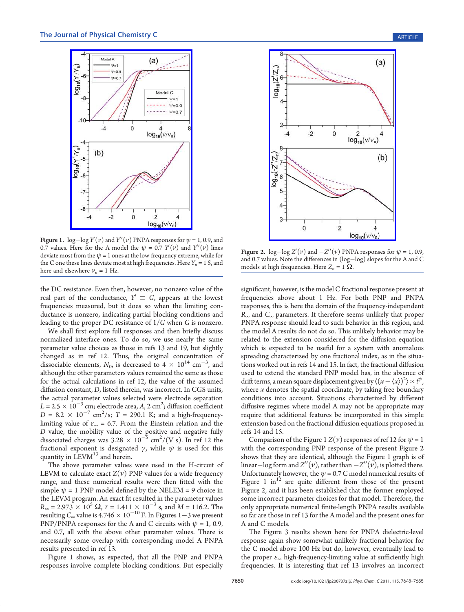

Figure 1.  $\log - \log Y'(v)$  and  $Y''(v)$  PNPA responses for  $\psi = 1, 0.9$ , and 0.7 values. Here for the A model the  $\psi = 0.7$   $Y'(\nu)$  and  $Y''(\nu)$  lines deviate most from the  $\psi = 1$  ones at the low-frequency extreme, while for the C one these lines deviate most at high frequencies. Here  $Y_n = 1$  S, and here and elsewhere  $v_n = 1$  Hz.

the DC resistance. Even then, however, no nonzero value of the real part of the conductance,  $Y' \equiv G$ , appears at the lowest frequencies measured, but it does so when the limiting conductance is nonzero, indicating partial blocking conditions and leading to the proper DC resistance of 1/G when G is nonzero.

We shall first explore full responses and then briefly discuss normalized interface ones. To do so, we use nearly the same parameter value choices as those in refs 13 and 19, but slightly changed as in ref 12. Thus, the original concentration of dissociable elements,  $N_0$ , is decreased to  $4 \times 10^{14}$  cm<sup>-3</sup>, and although the other parameters values remained the same as those for the actual calculations in ref 12, the value of the assumed diffusion constant, D, listed therein, was incorrect. In CGS units, the actual parameter values selected were electrode separation  $L = 2.5 \times 10^{-3}$  cm; electrode area, A, 2 cm<sup>2</sup>; diffusion coefficient  $D = 8.2 \times 10^{-7}$  cm<sup>2</sup>/s;  $T = 290.1$  K; and a high-frequencylimiting value of  $\varepsilon_{\infty}$  = 6.7. From the Einstein relation and the D value, the mobility value of the positive and negative fully dissociated charges was  $3.28 \times 10^{-5}$  cm<sup>2</sup>/(V s). In ref 12 the fractional exponent is designated  $\gamma$ , while  $\psi$  is used for this quantity in  $LEVM<sup>13</sup>$  and herein.

The above parameter values were used in the H-circuit of LEVM to calculate exact  $Z(\nu)$  PNP values for a wide frequency range, and these numerical results were then fitted with the simple  $\psi = 1$  PNP model defined by the NELEM = 9 choice in the LEVM program. An exact fit resulted in the parameter values  $R_{\infty} = 2.973 \times 10^5 \Omega$ ,  $\tau = 1.411 \times 10^{-3}$  s, and  $M = 116.2$ . The resulting  $C_{\infty}$  value is  $4.746 \times 10^{-10}$  F. In Figures 1–3 we present PNP/PNPA responses for the A and C circuits with  $\psi = 1, 0.9$ , and 0.7, all with the above other parameter values. There is necessarily some overlap with corresponding model A PNPA results presented in ref 13.

Figure 1 shows, as expected, that all the PNP and PNPA responses involve complete blocking conditions. But especially



Figure 2.  $\log - \log Z'(v)$  and  $-Z''(v)$  PNPA responses for  $\psi = 1, 0.9$ , and 0.7 values. Note the differences in  $(\log - \log)$  slopes for the A and C models at high frequencies. Here  $Z_n = 1 \Omega$ .

significant, however, is the model C fractional response present at frequencies above about 1 Hz. For both PNP and PNPA responses, this is here the domain of the frequency-independent  $R_{\infty}$  and  $C_{\infty}$  parameters. It therefore seems unlikely that proper PNPA response should lead to such behavior in this region, and the model A results do not do so. This unlikely behavior may be related to the extension considered for the diffusion equation which is expected to be useful for a system with anomalous spreading characterized by one fractional index, as in the situations worked out in refs 14 and 15. In fact, the fractional diffusion used to extend the standard PNP model has, in the absence of drift terms, a mean square displacement given by  $\langle (x - \langle x \rangle)^2 \rangle \propto t^{\psi}$ , where  $x$  denotes the spatial coordinate, by taking free boundary conditions into account. Situations characterized by different diffusive regimes where model A may not be appropriate may require that additional features be incorporated in this simple extension based on the fractional diffusion equations proposed in refs 14 and 15.

Comparison of the Figure 1  $Z(\nu)$  responses of ref 12 for  $\psi = 1$ with the corresponding PNP response of the present Figure 2 shows that they are identical, although the Figure 1 graph is of linear-log form and  $Z''(v)$ , rather than  $-Z''(v)$ , is plotted there. Unfortunately however, the  $\psi$  = 0.7 C model numerical results of Figure 1 in $12$  are quite different from those of the present Figure 2, and it has been established that the former employed some incorrect parameter choices for that model. Therefore, the only appropriate numerical finite-length PNPA results available so far are those in ref 13 for the A model and the present ones for A and C models.

The Figure 3 results shown here for PNPA dielectric-level response again show somewhat unlikely fractional behavior for the C model above 100 Hz but do, however, eventually lead to the proper  $\varepsilon_{\infty}$  high-frequency-limiting value at sufficiently high frequencies. It is interesting that ref 13 involves an incorrect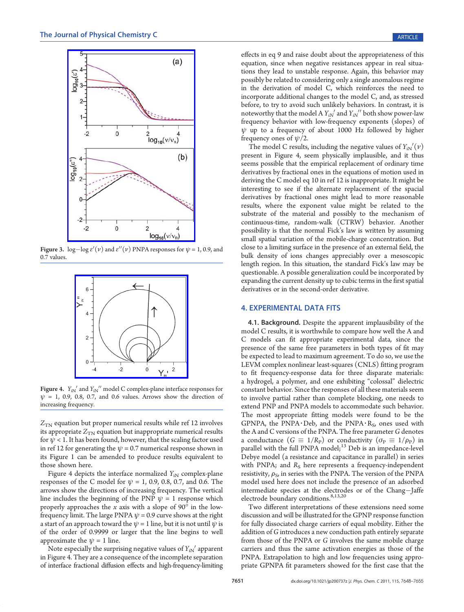

Figure 3.  $\log - \log \epsilon'(\nu)$  and  $\epsilon''(\nu)$  PNPA responses for  $\psi = 1, 0.9$ , and 0.7 values.



Figure 4.  $Y_{iN}^{\prime}$  and  $Y_{iN}^{\prime\prime}$  model C complex-plane interface responses for  $\psi$  = 1, 0.9, 0.8, 0.7, and 0.6 values. Arrows show the direction of increasing frequency.

 $Z_{\rm TN}$  equation but proper numerical results while ref 12 involves its appropriate  $Z_{TN}$  equation but inappropriate numerical results for  $\psi$  < 1. It has been found, however, that the scaling factor used in ref 12 for generating the  $\psi$  = 0.7 numerical response shown in its Figure 1 can be amended to produce results equivalent to those shown here.

Figure 4 depicts the interface normalized  $Y_{\rm iN}$  complex-plane responses of the C model for  $\psi$  = 1, 0.9, 0.8, 0.7, and 0.6. The arrows show the directions of increasing frequency. The vertical line includes the beginning of the PNP  $\psi = 1$  response which properly approaches the x axis with a slope of  $90^\circ$  in the lowfrequency limit. The large PNPA  $\psi$  = 0.9 curve shows at the right a start of an approach toward the  $\psi$  = 1 line, but it is not until  $\psi$  is of the order of 0.9999 or larger that the line begins to well approximate the  $\psi = 1$  line.

Note especially the surprising negative values of  $Y_{iN}$ <sup> $\prime$ </sup> apparent in Figure 4. They are a consequence of the incomplete separation of interface fractional diffusion effects and high-frequency-limiting effects in eq 9 and raise doubt about the appropriateness of this equation, since when negative resistances appear in real situations they lead to unstable response. Again, this behavior may possibly be related to considering only a single anomalous regime in the derivation of model C, which reinforces the need to incorporate additional changes to the model C, and, as stressed before, to try to avoid such unlikely behaviors. In contrast, it is noteworthy that the model A  $Y_{iN}^{\prime}$  and  $Y_{iN}^{\prime}$  both show power-law frequency behavior with low-frequency exponents (slopes) of  $\psi$  up to a frequency of about 1000 Hz followed by higher frequency ones of  $\psi/2$ .

The model C results, including the negative values of  $Y_{\text{iN}}'(\nu)$ present in Figure 4, seem physically implausible, and it thus seems possible that the empirical replacement of ordinary time derivatives by fractional ones in the equations of motion used in deriving the C model eq 10 in ref 12 is inappropriate. It might be interesting to see if the alternate replacement of the spacial derivatives by fractional ones might lead to more reasonable results, where the exponent value might be related to the substrate of the material and possibly to the mechanism of continuous-time, random-walk (CTRW) behavior. Another possibility is that the normal Fick's law is written by assuming small spatial variation of the mobile-charge concentration. But close to a limiting surface in the presence of an external field, the bulk density of ions changes appreciably over a mesoscopic length region. In this situation, the standard Fick's law may be questionable. A possible generalization could be incorporated by expanding the current density up to cubic terms in the first spatial derivatives or in the second-order derivative.

# 4. EXPERIMENTAL DATA FITS

4.1. Background. Despite the apparent implausibility of the model C results, it is worthwhile to compare how well the A and C models can fit appropriate experimental data, since the presence of the same free parameters in both types of fit may be expected to lead to maximum agreement. To do so, we use the LEVM complex nonlinear least-squares (CNLS) fitting program to fit frequency-response data for three disparate materials: a hydrogel, a polymer, and one exhibiting "colossal" dielectric constant behavior. Since the responses of all these materials seem to involve partial rather than complete blocking, one needs to extend PNP and PNPA models to accommodate such behavior. The most appropriate fitting models were found to be the GPNPA, the PNPA $\cdot$ Deb, and the PNPA $\cdot$ R<sub>S</sub>, ones used with the A and C versions of the PNPA. The free parameter G denotes a conductance  $(G \equiv 1/R_P)$  or conductivity  $(\sigma_P \equiv 1/\rho_P)$  in parallel with the full PNPA model;<sup>13</sup> Deb is an impedance-level Debye model (a resistance and capacitance in parallel) in series with PNPA; and  $R<sub>S</sub>$  here represents a frequency-independent resistivity,  $\rho_S$ , in series with the PNPA. The version of the PNPA model used here does not include the presence of an adsorbed intermediate species at the electrodes or of the Chang-Jaffe electrode boundary conditions.<sup>8,13,20</sup>

Two different interpretations of these extensions need some discussion and will be illustrated for the GPNP response function for fully dissociated charge carriers of equal mobility. Either the addition of G introduces a new conduction path entirely separate from those of the PNPA or G involves the same mobile charge carriers and thus the same activation energies as those of the PNPA. Extrapolation to high and low frequencies using appropriate GPNPA fit parameters showed for the first case that the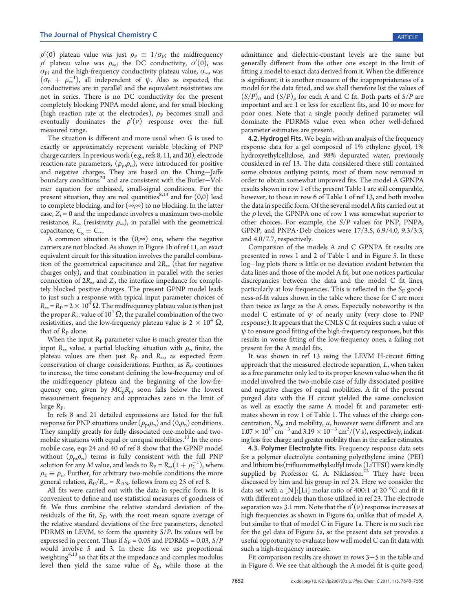$\rho'(0)$  plateau value was just  $\rho_P \equiv 1/\sigma_P$ ; the midfrequency  $\rho'$  plateau value was  $\rho_{\infty}$ ; the DC conductivity,  $\sigma'(0)$ , was  $\sigma_{\rm P}$ ; and the high-frequency conductivity plateau value,  $\sigma_{\infty}$ , was  $(\sigma_{\rm P} + \rho_{\infty}^{-1})$ , all independent of  $\psi$ . Also as expected, the conductivities are in parallel and the equivalent resistivities are not in series. There is no DC conductivity for the present completely blocking PNPA model alone, and for small blocking (high reaction rate at the electrodes),  $\rho_P$  becomes small and eventually dominates the  $\rho'(\nu)$  response over the full measured range.

The situation is different and more usual when G is used to exactly or approximately represent variable blocking of PNP charge carriers. In previous work (e.g., refs 8, 11, and 20), electrode reaction-rate parameters,  $(\rho_p, \rho_n)$ , were introduced for positive and negative charges. They are based on the Chang-Jaffe boundary conditions<sup>20</sup> and are consistent with the Butler-Volmer equation for unbiased, small-signal conditions. For the present situation, they are real quantities $8,13$  and for  $(0,0)$  lead to complete blocking, and for  $(\infty, \infty)$  to no blocking. In the latter case,  $Z_i = 0$  and the impedance involves a maximum two-mobile resistance,  $R_{\infty}$  (resistivity  $\rho_{\infty}$ ), in parallel with the geometrical capacitance,  $C_{\rm g}\equiv C_{\infty}$ .

A common situation is the  $(0, \infty)$  one, where the negative carriers are not blocked. As shown in Figure 1b of ref 11, an exact equivalent circuit for this situation involves the parallel combination of the geometrical capacitance and  $2R_{\infty}$  (that for negative charges only), and that combination in parallel with the series connection of  $2R_{\infty}$  and  $Z_{i}$ , the interface impedance for completely blocked positive charges. The present GPNP model leads to just such a response with typical input parameter choices of  $R_{\infty} = R_{\rm P} = 2 \times 10^4 \,\Omega$ . The midfrequency plateau value is then just the proper  $R_{\infty}$  value of  $10^4 \Omega$ , the parallel combination of the two resistivities, and the low-frequency plateau value is  $2 \times 10^4 \Omega$ , that of  $R_{\rm P}$  alone.

When the input  $R<sub>P</sub>$  parameter value is much greater than the input  $R_{\infty}$  value, a partial blocking situation with  $\rho_n$  finite, the plateau values are then just  $R_{\rm P}$  and  $R_{\infty}$ , as expected from conservation of charge considerations. Further, as  $R<sub>p</sub>$  continues to increase, the time constant defining the low-frequency end of the midfrequency plateau and the beginning of the low-frequency one, given by  $MC_{g}R_{p}$ , soon falls below the lowest measurement frequency and approaches zero in the limit of large R<sub>p</sub>.

In refs 8 and 21 detailed expressions are listed for the full response for PNP situations under  $(\rho_p,\rho_n)$  and  $(0,\rho_n)$  conditions. They simplify greatly for fully dissociated one-mobile and twomobile situations with equal or unequal mobilities.<sup>13</sup> In the onemobile case, eqs 24 and 40 of ref 8 show that the GPNP model without  $(\rho_p,\rho_n)$  terms is fully consistent with the full PNP solution for any *M* value, and leads to  $R_p = R_{\infty}(1 + \rho_2^{-1})$ , where  $\rho_2 \equiv \rho_{\rm n}$ . Further, for arbitrary two-mobile conditions the more general relation,  $R_P/R_\infty = R_{DN}$ , follows from eq 25 of ref 8.

All fits were carried out with the data in specific form. It is convenient to define and use statistical measures of goodness of fit. We thus combine the relative standard deviation of the residuals of the fit,  $S_F$ , with the root mean square average of the relative standard deviations of the free parameters, denoted PDRMS in LEVM, to form the quantity S/P. Its values will be expressed in percent. Thus if  $S_F = 0.05$  and PDRMS = 0.03, S/P would involve 5 and 3. In these fits we use proportional weighting<sup>4,13</sup> so that fits at the impedance and complex modulus level then yield the same value of  $S_F$ , while those at the

admittance and dielectric-constant levels are the same but generally different from the other one except in the limit of fitting a model to exact data derived from it. When the difference is significant, it is another measure of the inappropriateness of a model for the data fitted, and we shall therefore list the values of  $(S/P)_{\sigma}$  and  $(S/P)_{\rho}$  for each A and C fit. Both parts of S/P are important and are 1 or less for excellent fits, and 10 or more for poor ones. Note that a single poorly defined parameter will dominate the PDRMS value even when other well-defined parameter estimates are present.

4.2. Hydrogel Fits. We begin with an analysis of the frequency response data for a gel composed of 1% ethylene glycol, 1% hydroxyethylcellulose, and 98% depurated water, previously considered in ref 13. The data considered there still contained some obvious outlying points, most of them now removed in order to obtain somewhat improved fits. The model A GPNPA results shown in row 1 of the present Table 1 are still comparable, however, to those in row 6 of Table 1 of ref 13, and both involve the data in specific form. Of the several model A fits carried out at the  $\rho$  level, the GPNPA one of row 1 was somewhat superior to other choices. For example, the S/P values for PNP, PNPA, GPNP, and PNPA $\cdot$ Deb choices were 17/3.5, 6.9/4.0, 9.3/3.3, and 4.0/7.7, respectively.

Comparison of the models A and C GPNPA fit results are presented in rows 1 and 2 of Table 1 and in Figure 5. In these log-log plots there is little or no deviation evident between the data lines and those of the model A fit, but one notices particular discrepancies between the data and the model C fit lines, particularly at low frequencies. This is reflected in the  $S_F$  goodness-of-fit values shown in the table where those for C are more than twice as large as the A ones. Especially noteworthy is the model C estimate of  $\psi$  of nearly unity (very close to PNP response). It appears that the CNLS C fit requires such a value of  $\psi$  to ensure good fitting of the high-frequency responses, but this results in worse fitting of the low-frequency ones, a failing not present for the A model fits.

It was shown in ref 13 using the LEVM H-circuit fitting approach that the measured electrode separation, L, when taken as a free parameter only led to its proper known value when the fit model involved the two-mobile case of fully dissociated positive and negative charges of equal mobilities. A fit of the present purged data with the H circuit yielded the same conclusion as well as exactly the same A model fit and parameter estimates shown in row 1 of Table 1. The values of the charge concentration,  $N_0$ , and mobility,  $\mu$ , however were different and are  $1.07 \times 10^{17}$  cm<sup>-3</sup> and  $3.19 \times 10^{-3}$  cm<sup>2</sup>/(V s), respectively, indicating less free charge and greater mobility than in the earlier estimates.

4.3. Polymer Electrolyte Fits. Frequency response data sets for a polymer electrolyte containing polyethylene imine (PEI) and lithium bis(trifluoromethylsulfyl imide (LiTFSI) were kindly supplied by Professor G. A. Niklasson.<sup>22</sup> They have been discussed by him and his group in ref 23. Here we consider the data set with a [N]:[Li] molar ratio of 400:1 at 20  $^{\circ}$ C and fit it with different models than those utilized in ref 23. The electrode separation was 3.1 mm. Note that the  $\sigma'(\nu)$  response increases at high frequencies as shown in Figure 6a, unlike that of model A, but similar to that of model C in Figure 1a. There is no such rise for the gel data of Figure 5a, so the present data set provides a useful opportunity to evaluate how well model C can fit data with such a high-frequency increase.

Fit comparison results are shown in rows  $3-5$  in the table and in Figure 6. We see that although the A model fit is quite good,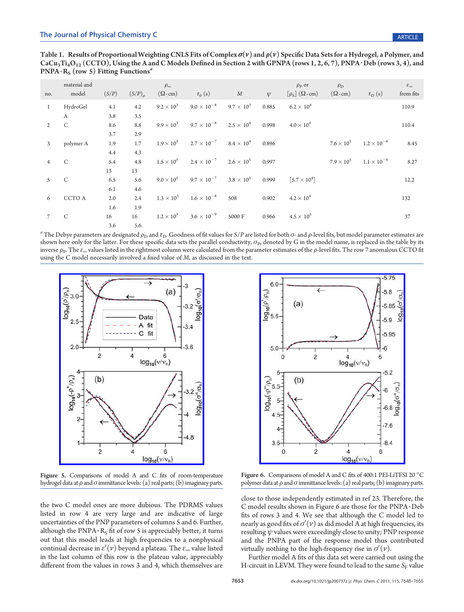Table 1. Results of Proportional Weighting CNLS Fits of Complex  $\sigma(v)$  and  $\rho(v)$  Specific Data Sets for a Hydrogel, a Polymer, and  $CaCu<sub>3</sub>Ti<sub>4</sub>O<sub>12</sub> (CCTO)$ , Using the A and C Models Defined in Section 2 with GPNPA (rows 1, 2, 6, 7), PNPA $\cdot$  Deb (rows 3, 4), and  $PNPA \cdot R_S$  (row 5) Fitting Functions<sup>a</sup>

|                | material and  |       |                | $\rho_{\infty}$     |                      |                     |        | $\rho_P$ or                               | $\rho_{\rm D}$      |                      | $\mathcal{E}_\infty$ |
|----------------|---------------|-------|----------------|---------------------|----------------------|---------------------|--------|-------------------------------------------|---------------------|----------------------|----------------------|
| no.            | model         | (S/P) | $(S/P)_{\rho}$ | $(\Omega \cdot cm)$ | $\tau_0$ (s)         | $M_{\rm}$           | $\psi$ | $[\rho_{\rm S}] (\Omega \cdot \text{cm})$ | $(\Omega \cdot cm)$ | $\tau_{\rm D}(s)$    | from fits            |
| $\mathbf{1}$   | HydroGel      | 4.1   | 4.2            | $9.2 \times 10^{3}$ | $9.0 \times 10^{-8}$ | $9.7 \times 10^{3}$ | 0.885  | $6.2 \times 10^{4}$                       |                     |                      | 110.9                |
|                | A             | 3.8   | 3.5            |                     |                      |                     |        |                                           |                     |                      |                      |
| $\mathfrak{2}$ | $\mathsf{C}$  | 8.6   | 8.8            | $9.9 \times 10^{3}$ | $9.7 \times 10^{-8}$ | $2.5 \times 10^4$   | 0.998  | $4.0 \times 10^{4}$                       |                     |                      | 110.4                |
|                |               | 3.7   | 2.9            |                     |                      |                     |        |                                           |                     |                      |                      |
| 3              | polymer A     | 1.9   | 1.7            | $1.9 \times 10^{5}$ | $2.7 \times 10^{-7}$ | $8.4 \times 10^{4}$ | 0.896  |                                           | $7.6 \times 10^5$   | $1.2 \times 10^{-6}$ | 8.45                 |
|                |               | 4.4   | 4.3            |                     |                      |                     |        |                                           |                     |                      |                      |
| $\overline{4}$ | $\mathsf{C}$  | 5.4   | 4.8            | $1.5 \times 10^5$   | $2.4 \times 10^{-7}$ | $2.6 \times 10^5$   | 0.997  |                                           | $7.9 \times 10^{5}$ | $1.1 \times 10^{-6}$ | 8.27                 |
|                |               | 13    | 13             |                     |                      |                     |        |                                           |                     |                      |                      |
| 5              | $\mathcal{C}$ | 6.5   | 5.6            | $9.0 \times 10^5$   | $9.7 \times 10^{-7}$ | $3.8 \times 10^5$   | 0.999  | $[5.7 \times 10^{4}]$                     |                     |                      | 12.2                 |
|                |               | 6.1   | 4.6            |                     |                      |                     |        |                                           |                     |                      |                      |
| 6              | CCTO A        | 2.0   | 2.4            | $1.3 \times 10^{3}$ | $1.6 \times 10^{-8}$ | 508                 | 0.902  | $4.2 \times 10^{4}$                       |                     |                      | 132                  |
|                |               | 1.6   | 1.9            |                     |                      |                     |        |                                           |                     |                      |                      |
|                | $\mathcal{C}$ | 16    | 16             | $1.2 \times 10^{3}$ | $3.6 \times 10^{-9}$ | 5000 F              | 0.966  | $4.5 \times 10^{5}$                       |                     |                      | 37                   |
|                |               | 3.6   | 5.6.           |                     |                      |                     |        |                                           |                     |                      |                      |

<sup>a</sup> The Debye parameters are designated  $\rho_D$  and  $\tau_D$ . Goodness of fit values for S/P are listed for both  $\sigma$ - and  $\rho$ -level fits, but model parameter estimates are shown here only for the latter. For these specific data sets the parallel conductivity,  $\sigma_{\rm P}$ , denoted by G in the model name, is replaced in the table by its inverse  $\rho_P$ . The  $\varepsilon_{\infty}$  values listed in the rightmost column were calculated from the parameter estimates of the  $\rho$ -level fits. The row 7 anomalous CCTO fit using the C model necessarily involved a fixed value of M, as discussed in the text.



Figure 5. Comparisons of model A and C fits of room-temperature hydrogel data at  $\rho$  and  $\sigma$  immittance levels: (a) real parts; (b) imaginary parts.

the two C model ones are more dubious. The PDRMS values listed in row 4 are very large and are indicative of large uncertainties of the PNP parameters of columns 5 and 6. Further, although the PNPA $\cdot$ R<sub>S</sub> fit of row 5 is appreciably better, it turns out that this model leads at high frequencies to a nonphysical continual decrease in  $\varepsilon'(\nu)$  beyond a plateau. The  $\varepsilon_{\infty}$  value listed in the last column of this row is the plateau value, appreciably different from the values in rows 3 and 4, which themselves are



Figure 6. Comparisons of model A and C fits of 400:1 PEI-LiTFSI 20 °C polymer data at  $\rho$  and  $\sigma$  immittance levels: (a) real parts; (b) imaginary parts.

close to those independently estimated in ref 23. Therefore, the C model results shown in Figure 6 are those for the  $PNPA \cdot Deb$ fits of rows 3 and 4. We see that although the C model led to nearly as good fits of  $\sigma'(\nu)$  as did model A at high frequencies, its resulting  $\psi$  values were exceedingly close to unity; PNP response and the PNPA part of the response model thus contributed virtually nothing to the high-frequency rise in  $\sigma'(\nu).$ 

Further model A fits of this data set were carried out using the H-circuit in LEVM. They were found to lead to the same  $S_F$  value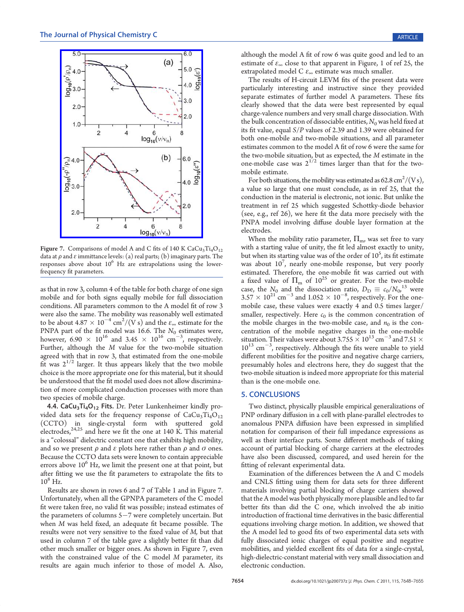

Figure 7. Comparisons of model A and C fits of 140 K  $CaCu<sub>3</sub>Ti<sub>4</sub>O<sub>12</sub>$ data at  $\rho$  and  $\varepsilon$  immittance levels: (a) real parts; (b) imaginary parts. The responses above about  $10^6$  Hz are extrapolations using the lowerfrequency fit parameters.

as that in row 3, column 4 of the table for both charge of one sign mobile and for both signs equally mobile for full dissociation conditions. All parameters common to the A model fit of row 3 were also the same. The mobility was reasonably well estimated to be about  $4.87 \times 10^{-4}$  cm<sup>2</sup>/(V s) and the  $\varepsilon_{\infty}$  estimate for the PNPA part of the fit model was 16.6. The  $N_0$  estimates were, however,  $6.90 \times 10^{16}$  and  $3.45 \times 10^{16}$  cm<sup>-3</sup>, respectively. Further, although the M value for the two-mobile situation agreed with that in row 3, that estimated from the one-mobile fit was  $2^{1/2}$  larger. It thus appears likely that the two mobile choice is the more appropriate one for this material, but it should be understood that the fit model used does not allow discrimination of more complicated conduction processes with more than two species of mobile charge.

4.4. CaCu<sub>3</sub>Ti<sub>4</sub>O<sub>12</sub> Fits. Dr. Peter Lunkenheimer kindly provided data sets for the frequency response of  $CaCu<sub>3</sub>Ti<sub>4</sub>O<sub>12</sub>$ (CCTO) in single-crystal form with sputtered gold electrodes,<sup>24,25</sup> and here we fit the one at 140 K. This material is a "colossal" dielectric constant one that exhibits high mobility, and so we present  $\rho$  and  $\varepsilon$  plots here rather than  $\rho$  and  $\sigma$  ones. Because the CCTO data sets were known to contain appreciable errors above  $10^6$  Hz, we limit the present one at that point, but after fitting we use the fit parameters to extrapolate the fits to  $10^8$  Hz.

Results are shown in rows 6 and 7 of Table 1 and in Figure 7. Unfortunately, when all the GPNPA parameters of the C model fit were taken free, no valid fit was possible; instead estimates of the parameters of columns  $5-7$  were completely uncertain. But when M was held fixed, an adequate fit became possible. The results were not very sensitive to the fixed value of M, but that used in column 7 of the table gave a slightly better fit than did other much smaller or bigger ones. As shown in Figure 7, even with the constrained value of the C model M parameter, its results are again much inferior to those of model A. Also,

although the model A fit of row 6 was quite good and led to an estimate of  $\varepsilon_{\infty}$  close to that apparent in Figure, 1 of ref 25, the extrapolated model C  $\varepsilon_{\infty}$  estimate was much smaller.

The results of H-circuit LEVM fits of the present data were particularly interesting and instructive since they provided separate estimates of further model A parameters. These fits clearly showed that the data were best represented by equal charge-valence numbers and very small charge dissociation. With the bulk concentration of dissociable entities,  $N_0$  was held fixed at its fit value, equal S/P values of 2.39 and 1.39 were obtained for both one-mobile and two-mobile situations, and all parameter estimates common to the model A fit of row 6 were the same for the two-mobile situation, but as expected, the M estimate in the one-mobile case was  $2^{1/2}$  times larger than that for the twomobile estimate.

For both situations, the mobility was estimated as 62.8  $\text{cm}^2\text{/(\text{V}\,\text{s})}$ , a value so large that one must conclude, as in ref 25, that the conduction in the material is electronic, not ionic. But unlike the treatment in ref 25 which suggested Schottky-diode behavior (see, e.g., ref 26), we here fit the data more precisely with the PNPA model involving diffuse double layer formation at the electrodes.

When the mobility ratio parameter,  $\Pi_{m}$ , was set free to vary with a starting value of unity, the fit led almost exactly to unity, but when its starting value was of the order of  $10^5$ , its fit estimate was about 10<sup>7</sup>, nearly one-mobile response, but very poorly estimated. Therefore, the one-mobile fit was carried out with a fixed value of  $\Pi_{\rm m}$  of  $10^{25}$  or greater. For the two-mobile case, the  $N_0$  and the dissociation ratio,  $D_D \equiv c_0/N_0^{13}$  were  $3.57 \times 10^{21}$  cm<sup>-3</sup> and  $1.052 \times 10^{-8}$ , respectively. For the onemobile case, these values were exactly 4 and 0.5 times larger/ smaller, respectively. Here  $c_0$  is the common concentration of the mobile charges in the two-mobile case, and  $n_0$  is the concentration of the mobile negative charges in the one-mobile situation. Their values were about 3.755  $\times$   $10^{13}$  cm  $^{-3}$  and 7.51  $\times$  $10^{13}$  cm<sup>-3</sup>, respectively. Although the fits were unable to yield different mobilities for the positive and negative charge carriers, presumably holes and electrons here, they do suggest that the two-mobile situation is indeed more appropriate for this material than is the one-mobile one.

#### 5. CONCLUSIONS

Two distinct, physically plausible empirical generalizations of PNP ordinary diffusion in a cell with plane-parallel electrodes to anomalous PNPA diffusion have been expressed in simplified notation for comparison of their full impedance expressions as well as their interface parts. Some different methods of taking account of partial blocking of charge carriers at the electrodes have also been discussed, compared, and used herein for the fitting of relevant experimental data.

Examination of the differences between the A and C models and CNLS fitting using them for data sets for three different materials involving partial blocking of charge carriers showed that the A model was both physically more plausible and led to far better fits than did the C one, which involved the ab initio introduction of fractional time derivatives in the basic differential equations involving charge motion. In addition, we showed that the A model led to good fits of two experimental data sets with fully dissociated ionic charges of equal positive and negative mobilities, and yielded excellent fits of data for a single-crystal, high-dielectric-constant material with very small dissociation and electronic conduction.